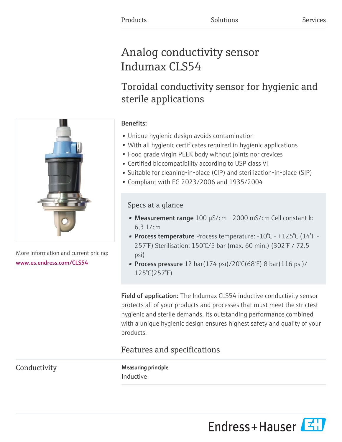# Analog conductivity sensor Indumax CLS54

# Toroidal conductivity sensor for hygienic and sterile applications

## Benefits:

- Unique hygienic design avoids contamination
- With all hygienic certificates required in hygienic applications
- Food grade virgin PEEK body without joints nor crevices
- Certified biocompatibility according to USP class VI
- Suitable for cleaning-in-place (CIP) and sterilization-in-place (SIP)
- Compliant with EG 2023/2006 and 1935/2004

# Specs at a glance

- Measurement range 100 µS/cm 2000 mS/cm Cell constant k: 6,3 1/cm
- Process temperature Process temperature: -10°C +125°C (14°F 257°F) Sterilisation: 150°C/5 bar (max. 60 min.) (302°F / 72.5 psi)
- Process pressure 12 bar(174 psi)/20°C(68°F) 8 bar(116 psi)/ 125°C(257°F)

**Field of application:** The Indumax CLS54 inductive conductivity sensor protects all of your products and processes that must meet the strictest hygienic and sterile demands. Its outstanding performance combined with a unique hygienic design ensures highest safety and quality of your products.

# Features and specifications

Conductivity Measuring principle Inductive





More information and current pricing: [www.es.endress.com/CLS54](https://www.es.endress.com/CLS54)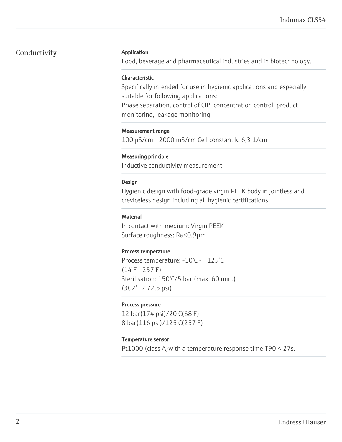## Conductivity **Application**

Food, beverage and pharmaceutical industries and in biotechnology.

#### Characteristic

Specifically intended for use in hygienic applications and especially suitable for following applications:

Phase separation, control of CIP, concentration control, product monitoring, leakage monitoring.

#### Measurement range

100 µS/cm - 2000 mS/cm Cell constant k: 6,3 1/cm

#### Measuring principle

Inductive conductivity measurement

#### Design

Hygienic design with food-grade virgin PEEK body in jointless and creviceless design including all hygienic certifications.

#### Material

In contact with medium: Virgin PEEK Surface roughness: Ra<0.9µm

#### Process temperature

Process temperature: -10°C - +125°C  $(14°F - 257°F)$ Sterilisation: 150°C/5 bar (max. 60 min.) (302°F / 72.5 psi)

#### Process pressure

12 bar(174 psi)/20°C(68°F) 8 bar(116 psi)/125°C(257°F)

#### Temperature sensor

Pt1000 (class A)with a temperature response time T90 < 27s.